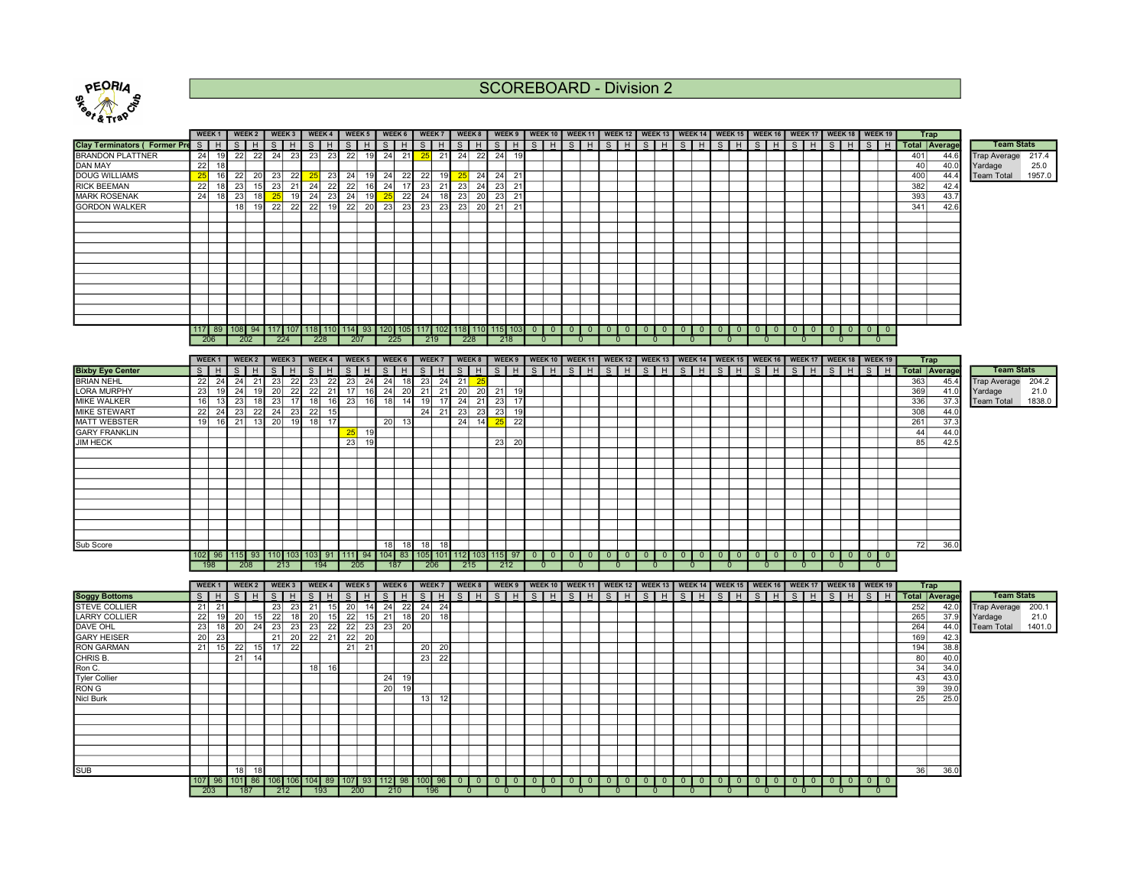

SCOREBOARD - Division 2

| Pe <sub>1781</sub>                   |                 |                   |      |               |    |              |                |                             |                                                                      |           |                       |                |                 |    |                 |                 |                 |                                       |         |                |              |                |         |                                                                               |                |         |                             |              |              |         |    |         |                                                                                                                                                                                                                                                                                                                                                                                                                                                    |     |                      |                     |        |
|--------------------------------------|-----------------|-------------------|------|---------------|----|--------------|----------------|-----------------------------|----------------------------------------------------------------------|-----------|-----------------------|----------------|-----------------|----|-----------------|-----------------|-----------------|---------------------------------------|---------|----------------|--------------|----------------|---------|-------------------------------------------------------------------------------|----------------|---------|-----------------------------|--------------|--------------|---------|----|---------|----------------------------------------------------------------------------------------------------------------------------------------------------------------------------------------------------------------------------------------------------------------------------------------------------------------------------------------------------------------------------------------------------------------------------------------------------|-----|----------------------|---------------------|--------|
|                                      |                 | WEEK <sub>1</sub> |      | <b>WEEK 2</b> |    | WEEK 3       |                | WEEK 4                      | WEEK 5                                                               |           | WEEK 6                |                | WEEK 7          |    | WEEK 8          | WEEK 9          |                 | WEEK 10   WEEK 11   WEEK 12   WEEK 13 |         |                |              |                |         | WEEK 14                                                                       |                |         | WEEK 15   WEEK 16   WEEK 17 |              |              |         |    | WEEK 18 | WEEK 19                                                                                                                                                                                                                                                                                                                                                                                                                                            |     | <b>Trap</b>          |                     |        |
| <b>Clay Terminators ( Former Pre</b> |                 | S H               |      | $S$   H       |    | $S$ $H$      |                | $S$   H                     | $S$   $H$                                                            |           | $S$ $H$               |                | $S$ $H$         |    | $S$ $H$         | $S$ $H$         |                 | $S$ H                                 | $S$ $H$ |                | $S$ $H$      |                | $S$ $H$ | $S$ $H$                                                                       |                | $S$ $H$ |                             | SH           |              | $S$ $H$ |    | SH      | $S$ $H$                                                                                                                                                                                                                                                                                                                                                                                                                                            |     | <b>Total Average</b> | <b>Team Stats</b>   |        |
| BRANDON PLATTNER                     | 24              | 19                |      | $22$ 22       |    | 24 23        |                | $23$ 23                     | 22                                                                   |           | 19 24 21              | 25             | 21              | 24 | 22              | 24              | 19              |                                       |         |                |              |                |         |                                                                               |                |         |                             |              |              |         |    |         |                                                                                                                                                                                                                                                                                                                                                                                                                                                    | 401 | 44.6                 | <b>Trap Average</b> | 217.4  |
| DAN MAY                              | $\overline{22}$ | 18                |      |               |    |              |                |                             |                                                                      |           |                       |                |                 |    |                 |                 |                 |                                       |         |                |              |                |         |                                                                               |                |         |                             |              |              |         |    |         |                                                                                                                                                                                                                                                                                                                                                                                                                                                    | 40  | 40.0                 | Yardage             | 25.0   |
| <b>DOUG WILLIAMS</b>                 | 25              | 16                | 22   | 20            | 23 | 22           | 25             | 23                          | 24                                                                   | 19        | 24<br>22              | 22             | 19              | 25 | 24              | 24              | 21              |                                       |         |                |              |                |         |                                                                               |                |         |                             |              |              |         |    |         |                                                                                                                                                                                                                                                                                                                                                                                                                                                    | 400 | 44.4                 | <b>Team Total</b>   | 1957.0 |
| <b>RICK BEEMAN</b>                   | 22              | 18                | 23   | 15            | 23 | 21           | 24             | 22                          | 22                                                                   | $16$ 24   | 17                    | 23             | 21              | 23 | 24              | 23              | 21              |                                       |         |                |              |                |         |                                                                               |                |         |                             |              |              |         |    |         |                                                                                                                                                                                                                                                                                                                                                                                                                                                    | 382 | 42.4                 |                     |        |
| <b>MARK ROSENAK</b>                  | 24              | 18                | 23   | 18            | 25 | 19           |                | $24 \mid 23$                | 24                                                                   | 19        | 22<br>25              | 24             | 18              | 23 | 20              | $\overline{23}$ | 21              |                                       |         |                |              |                |         |                                                                               |                |         |                             |              |              |         |    |         |                                                                                                                                                                                                                                                                                                                                                                                                                                                    | 393 | 43.7                 |                     |        |
| <b>GORDON WALKER</b>                 |                 |                   | 18 I | 19            |    | 22 22        |                | 22 19                       | 22                                                                   |           | 20 23 23              | 23             | 23              | 23 | 20              | 21              | 21              |                                       |         |                |              |                |         |                                                                               |                |         |                             |              |              |         |    |         |                                                                                                                                                                                                                                                                                                                                                                                                                                                    | 341 | 42.6                 |                     |        |
|                                      |                 |                   |      |               |    |              |                |                             |                                                                      |           |                       |                |                 |    |                 |                 |                 |                                       |         |                |              |                |         |                                                                               |                |         |                             |              |              |         |    |         |                                                                                                                                                                                                                                                                                                                                                                                                                                                    |     |                      |                     |        |
|                                      |                 |                   |      |               |    |              |                |                             |                                                                      |           |                       |                |                 |    |                 |                 |                 |                                       |         |                |              |                |         |                                                                               |                |         |                             |              |              |         |    |         |                                                                                                                                                                                                                                                                                                                                                                                                                                                    |     |                      |                     |        |
|                                      |                 |                   |      |               |    |              |                |                             |                                                                      |           |                       |                |                 |    |                 |                 |                 |                                       |         |                |              |                |         |                                                                               |                |         |                             |              |              |         |    |         |                                                                                                                                                                                                                                                                                                                                                                                                                                                    |     |                      |                     |        |
|                                      |                 |                   |      |               |    |              |                |                             |                                                                      |           |                       |                |                 |    |                 |                 |                 |                                       |         |                |              |                |         |                                                                               |                |         |                             |              |              |         |    |         |                                                                                                                                                                                                                                                                                                                                                                                                                                                    |     |                      |                     |        |
|                                      |                 |                   |      |               |    |              |                |                             |                                                                      |           |                       |                |                 |    |                 |                 |                 |                                       |         |                |              |                |         |                                                                               |                |         |                             |              |              |         |    |         |                                                                                                                                                                                                                                                                                                                                                                                                                                                    |     |                      |                     |        |
|                                      |                 |                   |      |               |    |              |                |                             |                                                                      |           |                       |                |                 |    |                 |                 |                 |                                       |         |                |              |                |         |                                                                               |                |         |                             |              |              |         |    |         |                                                                                                                                                                                                                                                                                                                                                                                                                                                    |     |                      |                     |        |
|                                      |                 |                   |      |               |    |              |                |                             |                                                                      |           |                       |                |                 |    |                 |                 |                 |                                       |         |                |              |                |         |                                                                               |                |         |                             |              |              |         |    |         |                                                                                                                                                                                                                                                                                                                                                                                                                                                    |     |                      |                     |        |
|                                      |                 |                   |      |               |    |              |                |                             |                                                                      |           |                       |                |                 |    |                 |                 |                 |                                       |         |                |              |                |         |                                                                               |                |         |                             |              |              |         |    |         |                                                                                                                                                                                                                                                                                                                                                                                                                                                    |     |                      |                     |        |
|                                      |                 |                   |      |               |    |              |                |                             |                                                                      |           |                       |                |                 |    |                 |                 |                 |                                       |         |                |              |                |         |                                                                               |                |         |                             |              |              |         |    |         |                                                                                                                                                                                                                                                                                                                                                                                                                                                    |     |                      |                     |        |
|                                      |                 |                   |      |               |    |              |                |                             |                                                                      |           |                       |                |                 |    |                 |                 |                 |                                       |         |                |              |                |         |                                                                               |                |         |                             |              |              |         |    |         |                                                                                                                                                                                                                                                                                                                                                                                                                                                    |     |                      |                     |        |
|                                      |                 |                   |      |               |    |              |                |                             |                                                                      |           |                       |                |                 |    |                 |                 |                 |                                       |         |                |              |                |         |                                                                               |                |         |                             |              |              |         |    |         |                                                                                                                                                                                                                                                                                                                                                                                                                                                    |     |                      |                     |        |
|                                      |                 |                   |      |               |    |              |                |                             | 117 89 108 94 117 107 118 110 114 93 120 105 117 102 118 110 115 103 |           |                       |                |                 |    |                 |                 |                 | 0 0 0 0 0 0 0 0                       |         |                |              |                | $0$ 0   | $0$   0                                                                       |                |         | 0 0 0 0 0 0 0 0 0           |              |              |         |    | $0$   0 | $0$   0                                                                                                                                                                                                                                                                                                                                                                                                                                            |     |                      |                     |        |
|                                      |                 | 206               |      | 202           |    | 224          | 228            |                             | 207                                                                  |           | 225                   |                | 219             |    | 228             | 218             |                 | 0                                     |         |                |              |                |         |                                                                               |                |         |                             |              |              |         |    |         |                                                                                                                                                                                                                                                                                                                                                                                                                                                    |     |                      |                     |        |
|                                      |                 |                   |      |               |    |              |                |                             |                                                                      |           |                       |                |                 |    |                 |                 |                 |                                       |         |                |              |                |         |                                                                               |                |         |                             |              |              |         |    |         |                                                                                                                                                                                                                                                                                                                                                                                                                                                    |     |                      |                     |        |
|                                      |                 | WEEK <sub>1</sub> |      | WEEK 2        |    | WEEK 3       |                | WEEK 4                      | WEEK 5   WEEK 6                                                      |           |                       |                | WEEK 7          |    | WEEK 8          |                 |                 |                                       |         |                |              |                |         |                                                                               |                |         |                             |              |              |         |    |         | WEEK 9   WEEK 10   WEEK 11   WEEK 12   WEEK 13   WEEK 14   WEEK 15   WEEK 16   WEEK 17   WEEK 18   WEEK 19                                                                                                                                                                                                                                                                                                                                         |     | Trap                 |                     |        |
| <b>Bixby Eye Center</b>              | $\mathsf{S}$    | H                 | S    | H             |    | $S$ $H$      |                | $S$ $H$                     | $S$ $H$                                                              |           | $S$ $H$               | S              | H               |    | $S$ $H$         | $S$ $H$         |                 | $S$ $H$                               | $S$ $H$ |                | $S$ $H$      |                | $S$ $H$ | $S$ H                                                                         |                | $S$ $H$ |                             | $S$ $H$      |              | $S$ $H$ |    | SH      | $S$ $H$                                                                                                                                                                                                                                                                                                                                                                                                                                            |     | <b>Total Average</b> | <b>Team Stats</b>   |        |
| <b>BRIAN NEHL</b>                    | 22              | 24                | 24   | 21            | 23 | 22           | 23             | 22                          | 23                                                                   | 24        | 24<br>18              | 23             | 24              | 21 |                 |                 |                 |                                       |         |                |              |                |         |                                                                               |                |         |                             |              |              |         |    |         |                                                                                                                                                                                                                                                                                                                                                                                                                                                    | 363 | 45.4                 | <b>Trap Average</b> | 204.2  |
| <b>LORA MURPHY</b>                   | 23              | 19                | 24   |               | 20 | 22           | 22             | 21                          | 17                                                                   | 16        | 24<br>20              | 21             | 21              | 20 | 20              | 21              | 19              |                                       |         |                |              |                |         |                                                                               |                |         |                             |              |              |         |    |         |                                                                                                                                                                                                                                                                                                                                                                                                                                                    | 369 | 41.0                 | Yardage             | 21.0   |
| <b>MIKE WALKER</b>                   | 16              | 13                | 23   | 18            | 23 | 17           |                | 18 16                       | 23                                                                   | 16I       | 18 I<br>14            | 19             | 17              | 24 | 21              | 23              | 17              |                                       |         |                |              |                |         |                                                                               |                |         |                             |              |              |         |    |         |                                                                                                                                                                                                                                                                                                                                                                                                                                                    | 336 | 37.3                 | <b>Team Total</b>   | 1838.0 |
| <b>MIKE STEWART</b>                  | 22              | 24                | 23   | 22            |    | 24 23        |                | $22$ 15                     |                                                                      |           |                       | 24             | 21              | 23 | 23              | 23              | 19              |                                       |         |                |              |                |         |                                                                               |                |         |                             |              |              |         |    |         |                                                                                                                                                                                                                                                                                                                                                                                                                                                    | 308 | 44.0                 |                     |        |
| <b>MATT WEBSTER</b>                  | 19 I            | 16                | 21   | 13            | 20 |              | $19$ 18 17     |                             |                                                                      |           | 20 13                 |                |                 | 24 | 14 <sup>1</sup> | 25              | $\overline{22}$ |                                       |         |                |              |                |         |                                                                               |                |         |                             |              |              |         |    |         |                                                                                                                                                                                                                                                                                                                                                                                                                                                    | 261 | 37.3                 |                     |        |
| <b>GARY FRANKLIN</b>                 |                 |                   |      |               |    |              |                |                             |                                                                      | 19        |                       |                |                 |    |                 |                 |                 |                                       |         |                |              |                |         |                                                                               |                |         |                             |              |              |         |    |         |                                                                                                                                                                                                                                                                                                                                                                                                                                                    | 44  | 44.0                 |                     |        |
| <b>JIM HECK</b>                      |                 |                   |      |               |    |              |                |                             | 23                                                                   | 19        |                       |                |                 |    |                 | 23              | -20             |                                       |         |                |              |                |         |                                                                               |                |         |                             |              |              |         |    |         |                                                                                                                                                                                                                                                                                                                                                                                                                                                    | 85  | 42.5                 |                     |        |
|                                      |                 |                   |      |               |    |              |                |                             |                                                                      |           |                       |                |                 |    |                 |                 |                 |                                       |         |                |              |                |         |                                                                               |                |         |                             |              |              |         |    |         |                                                                                                                                                                                                                                                                                                                                                                                                                                                    |     |                      |                     |        |
|                                      |                 |                   |      |               |    |              |                |                             |                                                                      |           |                       |                |                 |    |                 |                 |                 |                                       |         |                |              |                |         |                                                                               |                |         |                             |              |              |         |    |         |                                                                                                                                                                                                                                                                                                                                                                                                                                                    |     |                      |                     |        |
|                                      |                 |                   |      |               |    |              |                |                             |                                                                      |           |                       |                |                 |    |                 |                 |                 |                                       |         |                |              |                |         |                                                                               |                |         |                             |              |              |         |    |         |                                                                                                                                                                                                                                                                                                                                                                                                                                                    |     |                      |                     |        |
|                                      |                 |                   |      |               |    |              |                |                             |                                                                      |           |                       |                |                 |    |                 |                 |                 |                                       |         |                |              |                |         |                                                                               |                |         |                             |              |              |         |    |         |                                                                                                                                                                                                                                                                                                                                                                                                                                                    |     |                      |                     |        |
|                                      |                 |                   |      |               |    |              |                |                             |                                                                      |           |                       |                |                 |    |                 |                 |                 |                                       |         |                |              |                |         |                                                                               |                |         |                             |              |              |         |    |         |                                                                                                                                                                                                                                                                                                                                                                                                                                                    |     |                      |                     |        |
|                                      |                 |                   |      |               |    |              |                |                             |                                                                      |           |                       |                |                 |    |                 |                 |                 |                                       |         |                |              |                |         |                                                                               |                |         |                             |              |              |         |    |         |                                                                                                                                                                                                                                                                                                                                                                                                                                                    |     |                      |                     |        |
|                                      |                 |                   |      |               |    |              |                |                             |                                                                      |           |                       |                |                 |    |                 |                 |                 |                                       |         |                |              |                |         |                                                                               |                |         |                             |              |              |         |    |         |                                                                                                                                                                                                                                                                                                                                                                                                                                                    |     |                      |                     |        |
|                                      |                 |                   |      |               |    |              |                |                             |                                                                      |           |                       |                |                 |    |                 |                 |                 |                                       |         |                |              |                |         |                                                                               |                |         |                             |              |              |         |    |         |                                                                                                                                                                                                                                                                                                                                                                                                                                                    |     |                      |                     |        |
|                                      |                 |                   |      |               |    |              |                |                             |                                                                      |           |                       |                |                 |    |                 |                 |                 |                                       |         |                |              |                |         |                                                                               |                |         |                             |              |              |         |    |         |                                                                                                                                                                                                                                                                                                                                                                                                                                                    |     |                      |                     |        |
| Sub Score                            |                 |                   |      |               |    |              |                |                             |                                                                      |           | 18 I                  | 18 18          | 18              |    |                 |                 |                 |                                       |         |                |              |                |         |                                                                               |                |         |                             |              |              |         |    |         |                                                                                                                                                                                                                                                                                                                                                                                                                                                    | 72  | 36.0                 |                     |        |
|                                      |                 |                   |      |               |    |              |                |                             | 102 96 115 93 110 103 103 91 111 94 104 83 105 101 112 103 115 97    |           |                       |                |                 |    |                 |                 |                 |                                       |         |                |              |                |         | 000000000000000                                                               |                |         |                             |              |              |         |    |         | $\begin{array}{c c c c c c c c c} \hline \multicolumn{3}{c }{\textbf{0}} & \multicolumn{3}{c }{\textbf{0}} & \multicolumn{3}{c }{\textbf{0}} \\ \hline \multicolumn{3}{c }{\textbf{0}} & \multicolumn{3}{c }{\textbf{0}} & \multicolumn{3}{c }{\textbf{0}} & \multicolumn{3}{c }{\textbf{0}} \\ \hline \multicolumn{3}{c }{\textbf{0}} & \multicolumn{3}{c }{\textbf{0}} & \multicolumn{3}{c }{\textbf{0}} & \multicolumn{3}{c }{\textbf{0}} \\ \$ |     |                      |                     |        |
|                                      |                 | 198               |      | 208           |    | 213          | 194            |                             | 205                                                                  |           | 187                   |                | 206             |    | 215             | 212             |                 | $\overline{0}$                        | 0       |                | $\mathbf{0}$ |                |         | $\mathbf{0}$                                                                  |                |         |                             | $\mathbf{0}$ |              | 0       |    |         |                                                                                                                                                                                                                                                                                                                                                                                                                                                    |     |                      |                     |        |
|                                      |                 |                   |      |               |    |              |                |                             |                                                                      |           |                       |                |                 |    |                 |                 |                 |                                       |         |                |              |                |         |                                                                               |                |         |                             |              |              |         |    |         |                                                                                                                                                                                                                                                                                                                                                                                                                                                    |     |                      |                     |        |
|                                      |                 | WEEK <sub>1</sub> |      | WEEK 2        |    | WEEK 3       |                | WEEK 4                      | WEEK 5                                                               |           | WEEK 6                |                | WEEK 7          |    | WEEK 8          | WEEK 9          |                 |                                       |         |                |              |                |         | WEEK 10   WEEK 11   WEEK 12   WEEK 13   WEEK 14   WEEK 15   WEEK 16   WEEK 17 |                |         |                             |              |              |         |    | WEEK 18 | WEEK <sub>19</sub>                                                                                                                                                                                                                                                                                                                                                                                                                                 |     | <b>Trap</b>          |                     |        |
| <b>Soggy Bottoms</b>                 | S               | H                 |      | H             |    | $S$ $H$      | $\overline{s}$ | H                           | s I                                                                  | H         | $S$ H                 | $\overline{s}$ | H               |    | $S$ H           | $\overline{s}$  | H               | $S$ H                                 | $S$ H   | $\overline{s}$ | H            | $\overline{s}$ | H       | $S$ $H$                                                                       | $\overline{s}$ | H       |                             | $S$ $H$      | $\mathbf{s}$ | H       | S. | l H     | S   H                                                                                                                                                                                                                                                                                                                                                                                                                                              |     | <b>Total Average</b> | <b>Team Stats</b>   |        |
| <b>STEVE COLLIER</b>                 |                 | $21$ 21           |      |               |    | $23 \mid 23$ | 21             | 15                          | 20                                                                   | 14        | $24$ 22               |                | $24$ 24         |    |                 |                 |                 |                                       |         |                |              |                |         |                                                                               |                |         |                             |              |              |         |    |         |                                                                                                                                                                                                                                                                                                                                                                                                                                                    | 252 | 42.0                 | <b>Trap Average</b> | 200.1  |
| <b>LARRY COLLIER</b>                 | 22              | 19                | 20   | 15            | 22 | 18           | 20             | 15                          | 22                                                                   | $15$ $21$ | 18                    | 20             | $\overline{18}$ |    |                 |                 |                 |                                       |         |                |              |                |         |                                                                               |                |         |                             |              |              |         |    |         |                                                                                                                                                                                                                                                                                                                                                                                                                                                    | 265 | 37.9                 | Yardage             | 21.0   |
| DAVE OHL                             | 23              | 18                | 20   | 24            | 23 | 23           |                | $23 \overline{\smash{)}22}$ | 22                                                                   |           | 23 23 20              |                |                 |    |                 |                 |                 |                                       |         |                |              |                |         |                                                                               |                |         |                             |              |              |         |    |         |                                                                                                                                                                                                                                                                                                                                                                                                                                                    | 264 | 44.0                 | <b>Team Total</b>   | 1401.0 |
| <b>GARY HEISER</b>                   | 20 <sub>1</sub> | 23                |      |               |    | $21$ 20      |                | 22 21                       | 22                                                                   | 20        |                       |                |                 |    |                 |                 |                 |                                       |         |                |              |                |         |                                                                               |                |         |                             |              |              |         |    |         |                                                                                                                                                                                                                                                                                                                                                                                                                                                    | 169 | 42.3                 |                     |        |
| <b>RON GARMAN</b>                    | 21              | 15                | 22   | 15            |    | $17$ 22      |                |                             | 21                                                                   | 21        |                       | 20             | 20              |    |                 |                 |                 |                                       |         |                |              |                |         |                                                                               |                |         |                             |              |              |         |    |         |                                                                                                                                                                                                                                                                                                                                                                                                                                                    | 194 | 38.8                 |                     |        |
| CHRIS <sub>B.</sub>                  |                 |                   | 21   | 14            |    |              |                |                             |                                                                      |           |                       | 23             | 22              |    |                 |                 |                 |                                       |         |                |              |                |         |                                                                               |                |         |                             |              |              |         |    |         |                                                                                                                                                                                                                                                                                                                                                                                                                                                    | 80  | 40.0                 |                     |        |
| Ron C.                               |                 |                   |      |               |    |              | 18 I           | - 16                        |                                                                      |           |                       |                |                 |    |                 |                 |                 |                                       |         |                |              |                |         |                                                                               |                |         |                             |              |              |         |    |         |                                                                                                                                                                                                                                                                                                                                                                                                                                                    | 34  | 34.0                 |                     |        |
| <b>Tyler Collier</b>                 |                 |                   |      |               |    |              |                |                             |                                                                      |           | $24$ 19               |                |                 |    |                 |                 |                 |                                       |         |                |              |                |         |                                                                               |                |         |                             |              |              |         |    |         |                                                                                                                                                                                                                                                                                                                                                                                                                                                    | 43  | 43.0                 |                     |        |
| <b>RON G</b>                         |                 |                   |      |               |    |              |                |                             |                                                                      |           | 20 <sup>1</sup><br>19 |                |                 |    |                 |                 |                 |                                       |         |                |              |                |         |                                                                               |                |         |                             |              |              |         |    |         |                                                                                                                                                                                                                                                                                                                                                                                                                                                    | 39  | 39.0                 |                     |        |
| <b>Nicl Burk</b>                     |                 |                   |      |               |    |              |                |                             |                                                                      |           |                       | 13             | 12              |    |                 |                 |                 |                                       |         |                |              |                |         |                                                                               |                |         |                             |              |              |         |    |         |                                                                                                                                                                                                                                                                                                                                                                                                                                                    | 25  | 25.0                 |                     |        |

SUB 18 18 36 36.0 107 96 101 86 106 106 104 89 107 93 112 98 100 96 0 0 0 0 0 0 0 0 0 0 0 0 0 0 0 0 0 0 0 0 0 0 0 0 0 0 0 0 0 203 187 212 193 200 210 196 0 0 0 0 0 0 0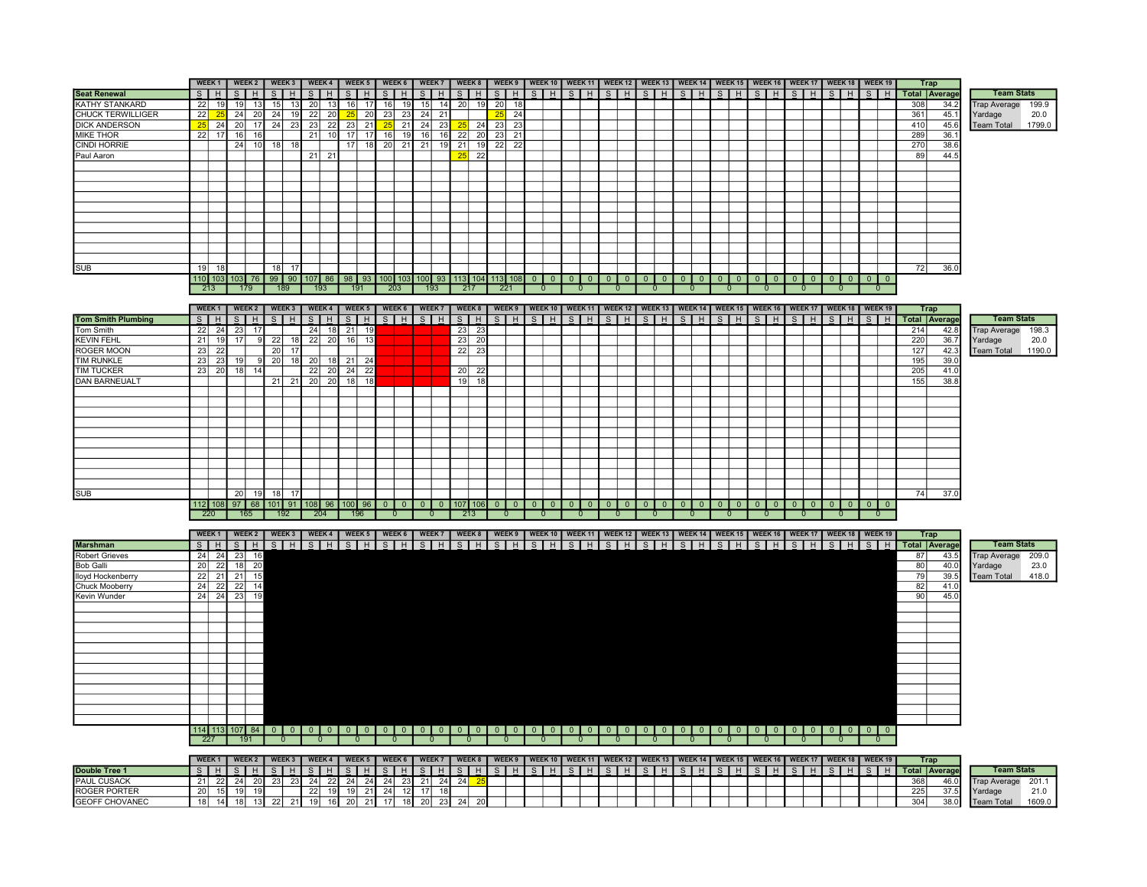|                                           |              | WEEK <sub>1</sub>            |                 | WEEK 2                     |    | WEEK 3         |              | WEEK 4                |                | WEEK 5                             |                         | WEEK 6             | WEEK 7          |                       |    | WEEK 8          |                                | WEEK 9          | WEEK 10   WEEK 11   WEEK 12   WEEK 13   WEEK 14   WEEK 15   WEEK 16   WEEK 17   WEEK 18   WEEK 19                                               |                |                |                    |                |                          |           |                    |                |                          |                          |                    |   |                                           |                    |                |            | <b>Trap</b>          |                                                 |
|-------------------------------------------|--------------|------------------------------|-----------------|----------------------------|----|----------------|--------------|-----------------------|----------------|------------------------------------|-------------------------|--------------------|-----------------|-----------------------|----|-----------------|--------------------------------|-----------------|-------------------------------------------------------------------------------------------------------------------------------------------------|----------------|----------------|--------------------|----------------|--------------------------|-----------|--------------------|----------------|--------------------------|--------------------------|--------------------|---|-------------------------------------------|--------------------|----------------|------------|----------------------|-------------------------------------------------|
| <b>Seat Renewal</b>                       | $\mathbf{s}$ | H                            | s               | H                          | S  | H              | $\mathsf{S}$ | H                     | $\overline{s}$ | H                                  | $\overline{\mathbf{s}}$ | H                  | $\mathbf{s}$    | H                     | S  | H               | $\overline{s}$                 | H               | $S$   $H$                                                                                                                                       | $S$ $H$        | $\overline{s}$ | H                  | $S$ $H$        |                          | $S$ $H$   | $S$ $H$            |                | $\overline{s}$           | H                        | S                  | H | S<br>H                                    | $\mathbf{s}$       | H              |            | <b>Total Average</b> | <b>Team Stats</b>                               |
| KATHY STANKARD                            | 22           | 19                           | 19              | 13                         | 15 | 13             | 20           | 13                    | 16             | 17                                 | 16                      | 19                 | 15              | 14                    | 20 | 19              | 20                             | -18             |                                                                                                                                                 |                |                |                    |                |                          |           |                    |                |                          |                          |                    |   |                                           |                    |                | 308        | 34.2                 | <b>Trap Average</b><br>199.9                    |
| <b>CHUCK TERWILLIGER</b>                  | 22           |                              | 24              | 20                         | 24 | 19             | 22           | 20                    | 25             | $\overline{20}$                    | 23                      | 23                 | 24              | $\overline{21}$       |    |                 | 25                             | $\overline{24}$ |                                                                                                                                                 |                |                |                    |                |                          |           |                    |                |                          |                          |                    |   |                                           |                    |                | 361        | 45.                  | 20.0<br>Yardage                                 |
| <b>DICK ANDERSON</b>                      | 25           | 24                           | 20              | $\overline{17}$            |    | $24$ 23        | 23           | $\overline{22}$       | 23             | $\overline{21}$                    | 25                      | $\overline{21}$    | $\overline{24}$ | $\overline{23}$       | 25 | 24              | 23                             | $\overline{23}$ |                                                                                                                                                 |                |                |                    |                |                          |           |                    |                |                          |                          |                    |   |                                           |                    |                | 410        | 45.6                 | 1799.0<br><b>Team Total</b>                     |
| <b>MIKE THOR</b>                          | 22           | 17                           | 16              | 16                         |    |                | 21           | 10                    | 17             | 17                                 | 16                      | 19                 | 16              | 16                    | 22 | 20              | 23                             | 21              |                                                                                                                                                 |                |                |                    |                |                          |           |                    |                |                          |                          |                    |   |                                           |                    |                | 289        | 36.1                 |                                                 |
| CINDI HORRIE                              |              |                              | 24              | 10                         | 18 | 1۶             |              |                       | 17             | 18                                 | 20                      | 21                 | 21              | 19                    | 21 | 19              | 22                             | 22              |                                                                                                                                                 |                |                |                    |                |                          |           |                    |                |                          |                          |                    |   |                                           |                    |                | 270        | 38.6                 |                                                 |
| Paul Aaron                                |              |                              |                 |                            |    |                | 21           | 21                    |                |                                    |                         |                    |                 |                       | 25 | $\overline{22}$ |                                |                 |                                                                                                                                                 |                |                |                    |                |                          |           |                    |                |                          |                          |                    |   |                                           |                    |                | 89         | 44.5                 |                                                 |
|                                           |              |                              |                 |                            |    |                |              |                       |                |                                    |                         |                    |                 |                       |    |                 |                                |                 |                                                                                                                                                 |                |                |                    |                |                          |           |                    |                |                          |                          |                    |   |                                           |                    |                |            |                      |                                                 |
|                                           |              |                              |                 |                            |    |                |              |                       |                |                                    |                         |                    |                 |                       |    |                 |                                |                 |                                                                                                                                                 |                |                |                    |                |                          |           |                    |                |                          |                          |                    |   |                                           |                    |                |            |                      |                                                 |
|                                           |              |                              |                 |                            |    |                |              |                       |                |                                    |                         |                    |                 |                       |    |                 |                                |                 |                                                                                                                                                 |                |                |                    |                |                          |           |                    |                |                          |                          |                    |   |                                           |                    |                |            |                      |                                                 |
|                                           |              |                              |                 |                            |    |                |              |                       |                |                                    |                         |                    |                 |                       |    |                 |                                |                 |                                                                                                                                                 |                |                |                    |                |                          |           |                    |                |                          |                          |                    |   |                                           |                    |                |            |                      |                                                 |
|                                           |              |                              |                 |                            |    |                |              |                       |                |                                    |                         |                    |                 |                       |    |                 |                                |                 |                                                                                                                                                 |                |                |                    |                |                          |           |                    |                |                          |                          |                    |   |                                           |                    |                |            |                      |                                                 |
|                                           |              |                              |                 |                            |    |                |              |                       |                |                                    |                         |                    |                 |                       |    |                 |                                |                 |                                                                                                                                                 |                |                |                    |                |                          |           |                    |                |                          |                          |                    |   |                                           |                    |                |            |                      |                                                 |
|                                           |              |                              |                 |                            |    |                |              |                       |                |                                    |                         |                    |                 |                       |    |                 |                                |                 |                                                                                                                                                 |                |                |                    |                |                          |           |                    |                |                          |                          |                    |   |                                           |                    |                |            |                      |                                                 |
|                                           |              |                              |                 |                            |    |                |              |                       |                |                                    |                         |                    |                 |                       |    |                 |                                |                 |                                                                                                                                                 |                |                |                    |                |                          |           |                    |                |                          |                          |                    |   |                                           |                    |                |            |                      |                                                 |
|                                           |              |                              |                 |                            |    |                |              |                       |                |                                    |                         |                    |                 |                       |    |                 |                                |                 |                                                                                                                                                 |                |                |                    |                |                          |           |                    |                |                          |                          |                    |   |                                           |                    |                |            |                      |                                                 |
|                                           |              |                              |                 |                            |    |                |              |                       |                |                                    |                         |                    |                 |                       |    |                 |                                |                 |                                                                                                                                                 |                |                |                    |                |                          |           |                    |                |                          |                          |                    |   |                                           |                    |                |            |                      |                                                 |
| <b>SUB</b>                                | 19           | 18                           |                 |                            | 18 | 17             |              |                       |                |                                    |                         |                    |                 |                       |    |                 |                                |                 |                                                                                                                                                 |                |                |                    |                |                          |           |                    |                |                          |                          |                    |   |                                           |                    |                | 72         | 36.0                 |                                                 |
|                                           |              | 110 103                      |                 | $103$ 76                   |    | 99   90        | 107          | 86                    | 98             | 93                                 |                         |                    |                 |                       |    |                 | 100 103 100 93 113 104 113 108 |                 |                                                                                                                                                 |                |                | $0$ 0              | $0$ 0          | $\overline{\phantom{0}}$ | $\circ$   | $\overline{0}$     | $\overline{0}$ | $\overline{\phantom{0}}$ | $\overline{\phantom{0}}$ | $0$ 0              |   | $\overline{0}$<br>$\overline{\mathbf{0}}$ |                    | $0$   0        |            |                      |                                                 |
|                                           |              | 213                          |                 | 179                        |    | 189            |              | 193                   |                | 191                                | 203                     |                    |                 | 193                   |    | 217             | 221                            |                 | $\mathbf{0}$                                                                                                                                    | $\overline{0}$ |                | $\overline{0}$     | $\overline{0}$ | $\mathbf{0}$             |           | $\overline{0}$     |                | $\overline{0}$           |                          | $\overline{0}$     |   | $\mathbf{0}$                              |                    | $\mathbf{0}$   |            |                      |                                                 |
|                                           |              |                              |                 |                            |    |                |              |                       |                |                                    |                         |                    |                 |                       |    |                 |                                |                 |                                                                                                                                                 |                |                |                    |                |                          |           |                    |                |                          |                          |                    |   |                                           |                    |                |            |                      |                                                 |
|                                           |              | WEEK <sub>1</sub>            |                 | <b>WEEK 2</b>              |    | WEEK 3         |              | WEEK 4                |                | WEEK 5                             |                         | WEEK 6             | <b>WEEK7</b>    |                       |    | WEEK 8          |                                | WEEK 9          | WEEK 10                                                                                                                                         | <b>WEEK 11</b> |                | WEEK <sub>12</sub> | WEEK 13        |                          | WEEK 14   | WEEK <sub>15</sub> |                | WEEK 16                  |                          | WEEK 17            |   | WEEK 18                                   | WEEK <sub>19</sub> |                |            | Trap                 |                                                 |
| <b>Tom Smith Plumbing</b>                 | S            | H                            |                 | $S$   $H$                  | S  | H              | S            | H                     |                | $S$   H                            |                         | $S$ $H$            | $S$ $H$         |                       | S  | H               | S                              | <b>H</b>        | $\mathsf{S}$<br><b>H</b>                                                                                                                        | S H            | S              | H                  | $S$   $H$      |                          | $S$   $H$ | S                  | H              | S                        | H                        | H<br>$S_{\perp}$   |   | S<br>H                                    | S.                 | H              |            | <b>Total Average</b> | <b>Team Stats</b>                               |
| Tom Smith                                 | 22           | 24                           | 23              | 17                         |    |                | 24           | 18                    | 21             | 19                                 |                         |                    |                 |                       | 23 | 23              |                                |                 |                                                                                                                                                 |                |                |                    |                |                          |           |                    |                |                          |                          |                    |   |                                           |                    |                | 214        | 42.8                 | <b>Trap Average</b><br>198.3                    |
| <b>KEVIN FEHL</b>                         | 21           | 19                           | 17              |                            | 22 | <b>18</b>      | 22           | 20                    | 16             | 13                                 |                         |                    |                 |                       | 23 | 20              |                                |                 |                                                                                                                                                 |                |                |                    |                |                          |           |                    |                |                          |                          |                    |   |                                           |                    |                | 220        | 36.7                 | 20.0<br>Yardage                                 |
| ROGER MOON                                | 23           | 22                           |                 |                            | 20 | 17             |              |                       |                |                                    |                         |                    |                 |                       | 22 | 23              |                                |                 |                                                                                                                                                 |                |                |                    |                |                          |           |                    |                |                          |                          |                    |   |                                           |                    |                | 127        | 42.3                 | 1190.0<br><b>Team Total</b>                     |
| <b>TIM RUNKLE</b>                         | 23           | 23                           | 19              |                            | 20 | 18             | 20           | 18                    | 21             | 24                                 |                         |                    |                 |                       |    |                 |                                |                 |                                                                                                                                                 |                |                |                    |                |                          |           |                    |                |                          |                          |                    |   |                                           |                    |                | 195        | 39(                  |                                                 |
| TIM TUCKER                                | 23           | 20                           | 18              | 14                         |    |                | 22           | 20                    | 24             | $\overline{22}$                    |                         |                    |                 |                       | 20 | 22              |                                |                 |                                                                                                                                                 |                |                |                    |                |                          |           |                    |                |                          |                          |                    |   |                                           |                    |                | 205        | 41.0                 |                                                 |
| <b>DAN BARNEUALT</b>                      |              |                              |                 |                            | 21 | 21             | 20           | 20                    | 18             | $\overline{18}$                    |                         |                    |                 |                       | 19 | 18              |                                |                 |                                                                                                                                                 |                |                |                    |                |                          |           |                    |                |                          |                          |                    |   |                                           |                    |                | 155        | 38.8                 |                                                 |
|                                           |              |                              |                 |                            |    |                |              |                       |                |                                    |                         |                    |                 |                       |    |                 |                                |                 |                                                                                                                                                 |                |                |                    |                |                          |           |                    |                |                          |                          |                    |   |                                           |                    |                |            |                      |                                                 |
|                                           |              |                              |                 |                            |    |                |              |                       |                |                                    |                         |                    |                 |                       |    |                 |                                |                 |                                                                                                                                                 |                |                |                    |                |                          |           |                    |                |                          |                          |                    |   |                                           |                    |                |            |                      |                                                 |
|                                           |              |                              |                 |                            |    |                |              |                       |                |                                    |                         |                    |                 |                       |    |                 |                                |                 |                                                                                                                                                 |                |                |                    |                |                          |           |                    |                |                          |                          |                    |   |                                           |                    |                |            |                      |                                                 |
|                                           |              |                              |                 |                            |    |                |              |                       |                |                                    |                         |                    |                 |                       |    |                 |                                |                 |                                                                                                                                                 |                |                |                    |                |                          |           |                    |                |                          |                          |                    |   |                                           |                    |                |            |                      |                                                 |
|                                           |              |                              |                 |                            |    |                |              |                       |                |                                    |                         |                    |                 |                       |    |                 |                                |                 |                                                                                                                                                 |                |                |                    |                |                          |           |                    |                |                          |                          |                    |   |                                           |                    |                |            |                      |                                                 |
|                                           |              |                              |                 |                            |    |                |              |                       |                |                                    |                         |                    |                 |                       |    |                 |                                |                 |                                                                                                                                                 |                |                |                    |                |                          |           |                    |                |                          |                          |                    |   |                                           |                    |                |            |                      |                                                 |
|                                           |              |                              |                 |                            |    |                |              |                       |                |                                    |                         |                    |                 |                       |    |                 |                                |                 |                                                                                                                                                 |                |                |                    |                |                          |           |                    |                |                          |                          |                    |   |                                           |                    |                |            |                      |                                                 |
|                                           |              |                              |                 |                            |    |                |              |                       |                |                                    |                         |                    |                 |                       |    |                 |                                |                 |                                                                                                                                                 |                |                |                    |                |                          |           |                    |                |                          |                          |                    |   |                                           |                    |                |            |                      |                                                 |
|                                           |              |                              |                 |                            |    |                |              |                       |                |                                    |                         |                    |                 |                       |    |                 |                                |                 |                                                                                                                                                 |                |                |                    |                |                          |           |                    |                |                          |                          |                    |   |                                           |                    |                |            |                      |                                                 |
|                                           |              |                              |                 |                            |    |                |              |                       |                |                                    |                         |                    |                 |                       |    |                 |                                |                 |                                                                                                                                                 |                |                |                    |                |                          |           |                    |                |                          |                          |                    |   |                                           |                    |                |            |                      |                                                 |
| <b>SUB</b>                                |              |                              | 20              | 19                         | 18 | 17             |              |                       |                |                                    |                         |                    |                 |                       |    |                 |                                |                 |                                                                                                                                                 |                |                |                    |                |                          |           |                    |                |                          |                          |                    |   |                                           |                    |                | 74         | 37.0                 |                                                 |
|                                           |              |                              |                 |                            |    |                |              |                       |                | 112 108 97 68 101 91 108 96 100 96 |                         | 0 0 0 0 0 107 106  |                 |                       |    |                 | $0$   $0$                      |                 | $0$   $0$                                                                                                                                       | $0$   0        |                |                    |                |                          | $0$ 0     |                    |                |                          | $\circ$ 1                |                    |   |                                           |                    |                |            |                      |                                                 |
|                                           |              | 220                          |                 | 165                        |    | 192            |              | 204                   |                | 196                                |                         | $\mathbf{0}$       | $\overline{0}$  |                       |    | 213             | $\mathbf{0}$                   |                 | $\mathbf{0}$                                                                                                                                    | $\mathbf{0}$   | $\Omega$       |                    |                |                          |           |                    |                | $\mathbf{0}$             |                          | $\mathbf{0}$       |   |                                           |                    |                |            |                      |                                                 |
|                                           |              |                              |                 | WEEK 2                     |    |                |              |                       |                |                                    |                         |                    |                 |                       |    |                 |                                |                 |                                                                                                                                                 |                |                |                    |                |                          |           |                    |                |                          |                          |                    |   |                                           |                    |                |            | <b>Trap</b>          |                                                 |
|                                           |              | WEEK <sub>1</sub><br>$S$ $H$ |                 |                            |    |                |              |                       |                |                                    |                         |                    |                 |                       |    |                 |                                |                 | WEEK3   WEEK4   WEEK5   WEEK6   WEEK7   WEEK8   WEEK9   WEEK10   WEEK11   WEEK12   WEEK13   WEEK14   WEEK16   WEEK17   WEEK18   WEEK18   WEEK19 |                |                |                    |                |                          |           |                    |                |                          |                          |                    |   |                                           |                    |                |            | <b>Total Average</b> | <b>Team Stats</b>                               |
| <b>Marshman</b>                           | 24           |                              |                 | $S$ $H$                    |    |                |              |                       |                |                                    |                         |                    |                 |                       |    |                 |                                |                 | <u>S   H   S   H   S   H   S   H   S   H   S   H   S   H   S   H   S   H   S   H   S   H   S   H   S   H   S   H   S   H   S   H   S</u>        |                |                |                    |                |                          |           |                    |                |                          |                          |                    |   |                                           |                    |                |            |                      |                                                 |
| Robert Grieves                            | 20           | $^{24}$<br>$\overline{22}$   | 23<br>18        | 16                         |    |                |              |                       |                |                                    |                         |                    |                 |                       |    |                 |                                |                 |                                                                                                                                                 |                |                |                    |                |                          |           |                    |                |                          |                          |                    |   |                                           |                    |                | 87         | 43.5                 | Trap Average<br>209.0                           |
| <b>Bob Galli</b>                          | 22           | $\overline{21}$              | 21              | 20<br>15                   |    |                |              |                       |                |                                    |                         |                    |                 |                       |    |                 |                                |                 |                                                                                                                                                 |                |                |                    |                |                          |           |                    |                |                          |                          |                    |   |                                           |                    |                | 80         | 40.0                 | 23.0<br>Yardage                                 |
| lloyd Hockenberry                         | 24           |                              | 22              |                            |    |                |              |                       |                |                                    |                         |                    |                 |                       |    |                 |                                |                 |                                                                                                                                                 |                |                |                    |                |                          |           |                    |                |                          |                          |                    |   |                                           |                    |                | 79         | 39.5                 | 418.0<br><b>Team Total</b>                      |
| <b>Chuck Mooberry</b>                     | 24           | 22<br>24                     |                 | 14<br>19                   |    |                |              |                       |                |                                    |                         |                    |                 |                       |    |                 |                                |                 |                                                                                                                                                 |                |                |                    |                |                          |           |                    |                |                          |                          |                    |   |                                           |                    |                | 82<br>90   | 41.0                 |                                                 |
| Kevin Wunder                              |              |                              | 23              |                            |    |                |              |                       |                |                                    |                         |                    |                 |                       |    |                 |                                |                 |                                                                                                                                                 |                |                |                    |                |                          |           |                    |                |                          |                          |                    |   |                                           |                    |                |            | 45.0                 |                                                 |
|                                           |              |                              |                 |                            |    |                |              |                       |                |                                    |                         |                    |                 |                       |    |                 |                                |                 |                                                                                                                                                 |                |                |                    |                |                          |           |                    |                |                          |                          |                    |   |                                           |                    |                |            |                      |                                                 |
|                                           |              |                              |                 |                            |    |                |              |                       |                |                                    |                         |                    |                 |                       |    |                 |                                |                 |                                                                                                                                                 |                |                |                    |                |                          |           |                    |                |                          |                          |                    |   |                                           |                    |                |            |                      |                                                 |
|                                           |              |                              |                 |                            |    |                |              |                       |                |                                    |                         |                    |                 |                       |    |                 |                                |                 |                                                                                                                                                 |                |                |                    |                |                          |           |                    |                |                          |                          |                    |   |                                           |                    |                |            |                      |                                                 |
|                                           |              |                              |                 |                            |    |                |              |                       |                |                                    |                         |                    |                 |                       |    |                 |                                |                 |                                                                                                                                                 |                |                |                    |                |                          |           |                    |                |                          |                          |                    |   |                                           |                    |                |            |                      |                                                 |
|                                           |              |                              |                 |                            |    |                |              |                       |                |                                    |                         |                    |                 |                       |    |                 |                                |                 |                                                                                                                                                 |                |                |                    |                |                          |           |                    |                |                          |                          |                    |   |                                           |                    |                |            |                      |                                                 |
|                                           |              |                              |                 |                            |    |                |              |                       |                |                                    |                         |                    |                 |                       |    |                 |                                |                 |                                                                                                                                                 |                |                |                    |                |                          |           |                    |                |                          |                          |                    |   |                                           |                    |                |            |                      |                                                 |
|                                           |              |                              |                 |                            |    |                |              |                       |                |                                    |                         |                    |                 |                       |    |                 |                                |                 |                                                                                                                                                 |                |                |                    |                |                          |           |                    |                |                          |                          |                    |   |                                           |                    |                |            |                      |                                                 |
|                                           |              |                              |                 |                            |    |                |              |                       |                |                                    |                         |                    |                 |                       |    |                 |                                |                 |                                                                                                                                                 |                |                |                    |                |                          |           |                    |                |                          |                          |                    |   |                                           |                    |                |            |                      |                                                 |
|                                           |              |                              |                 |                            |    |                |              |                       |                |                                    |                         |                    |                 |                       |    |                 |                                |                 |                                                                                                                                                 |                |                |                    |                |                          |           |                    |                |                          |                          |                    |   |                                           |                    |                |            |                      |                                                 |
|                                           |              |                              |                 |                            |    |                |              |                       |                |                                    |                         |                    |                 |                       |    |                 |                                |                 |                                                                                                                                                 |                |                |                    |                |                          |           |                    |                |                          |                          |                    |   |                                           |                    |                |            |                      |                                                 |
|                                           |              |                              |                 |                            |    |                |              |                       |                |                                    |                         |                    |                 |                       |    |                 |                                |                 |                                                                                                                                                 |                |                |                    |                |                          |           |                    |                |                          |                          |                    |   |                                           |                    |                |            |                      |                                                 |
|                                           |              |                              |                 |                            |    |                |              |                       |                |                                    |                         |                    |                 |                       |    |                 |                                |                 |                                                                                                                                                 |                |                |                    |                |                          |           |                    |                |                          |                          |                    |   |                                           |                    |                |            |                      |                                                 |
|                                           |              |                              |                 |                            |    |                |              |                       |                |                                    |                         |                    |                 |                       |    |                 |                                |                 |                                                                                                                                                 |                |                |                    |                |                          |           |                    |                | $\overline{\phantom{0}}$ |                          |                    |   | 0 0 0 0 0 0 0 0 0                         |                    |                |            |                      |                                                 |
|                                           |              | 227                          |                 | 191                        |    | $\overline{0}$ |              | $\overline{0}$        |                | $\overline{0}$                     | $\overline{0}$          |                    | $\overline{0}$  |                       |    | -0              | -0                             |                 |                                                                                                                                                 | $\Omega$       |                |                    |                |                          |           |                    |                | $\Omega$                 |                          |                    |   | $\Omega$                                  |                    | $\overline{0}$ |            |                      |                                                 |
|                                           |              |                              |                 |                            |    |                |              |                       |                |                                    |                         |                    |                 |                       |    |                 |                                |                 |                                                                                                                                                 |                |                |                    |                |                          |           |                    |                |                          |                          |                    |   |                                           |                    |                |            |                      |                                                 |
|                                           |              | WEEK <sub>1</sub>            |                 | <b>WEEK 2</b>              |    | WEEK 3         |              | WEEK 4                |                | WEEK 5                             | WEEK 6                  |                    |                 | <b>WEEK7</b>          |    | WEEK 8          |                                | WEEK 9          | <b>WEEK 10</b>                                                                                                                                  | WEEK 11        |                | WEEK <sub>12</sub> | WEEK 13        |                          | WEEK 14   | WEEK 15            |                | WEEK 16                  |                          | WEEK <sub>17</sub> |   | WEEK 18   WEEK 19                         |                    |                |            | <b>Trap</b>          | <b>Team Stats</b>                               |
| Double Tree 1                             |              | $S$   H                      |                 | $S$   $H$                  |    | $S$   H        | s            | H                     |                | S H                                |                         | $S$   $H$          | $\overline{s}$  | H                     |    | $S$   $H$       | S                              | H               | $S$ $H$                                                                                                                                         | $S$   $H$      |                | S H                | $S$   $H$      |                          | $S$ $H$   |                    | $S$   H        | $\mathsf{S}$             | H                        | $S$   H            |   | S<br>H                                    | S                  | H              |            | <b>Total Average</b> |                                                 |
| <b>PAUL CUSACK</b><br><b>ROGER PORTER</b> | 21<br>20     | 22<br>15                     | 19              | $24$ 20<br>$\overline{19}$ |    | $23 \mid 23$   | 24<br>22     | $\overline{22}$<br>19 | 24<br>19       | 24<br>21                           |                         | $24$ 23<br>$24$ 12 | 21<br>17        | 24<br>$\overline{18}$ | 24 | $\overline{2}$  |                                |                 |                                                                                                                                                 |                |                |                    |                |                          |           |                    |                |                          |                          |                    |   |                                           |                    |                | 368<br>225 | 46.0<br>37.5         | <b>Trap Average</b><br>201.1<br>21.0<br>Yardage |
| <b>GEOFF CHOVANEC</b>                     |              | $18$ 14                      | $\overline{18}$ |                            |    | $13$ 22 21     |              |                       |                | 19 16 20 21 17 18 20               |                         |                    |                 | 23                    | 24 | $\overline{20}$ |                                |                 |                                                                                                                                                 |                |                |                    |                |                          |           |                    |                |                          |                          |                    |   |                                           |                    |                | 304        | 38.0                 | 1609.0<br>Team Total                            |
|                                           |              |                              |                 |                            |    |                |              |                       |                |                                    |                         |                    |                 |                       |    |                 |                                |                 |                                                                                                                                                 |                |                |                    |                |                          |           |                    |                |                          |                          |                    |   |                                           |                    |                |            |                      |                                                 |